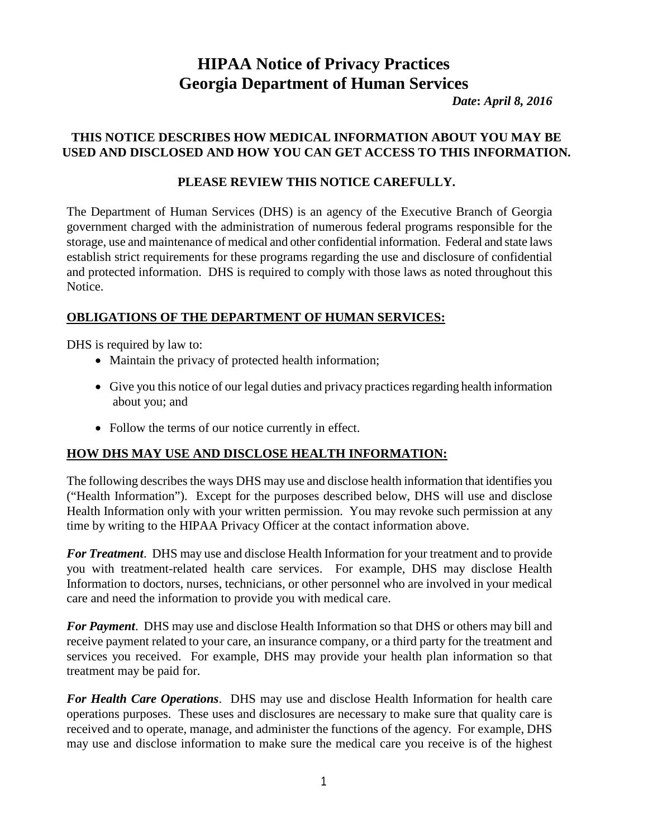# **HIPAA Notice of Privacy Practices Georgia Department of Human Services**

*Date***:** *April 8, 2016*

#### **THIS NOTICE DESCRIBES HOW MEDICAL INFORMATION ABOUT YOU MAY BE USED AND DISCLOSED AND HOW YOU CAN GET ACCESS TO THIS INFORMATION.**

#### **PLEASE REVIEW THIS NOTICE CAREFULLY.**

The Department of Human Services (DHS) is an agency of the Executive Branch of Georgia government charged with the administration of numerous federal programs responsible for the storage, use and maintenance of medical and other confidential information. Federal and state laws establish strict requirements for these programs regarding the use and disclosure of confidential and protected information. DHS is required to comply with those laws as noted throughout this Notice.

## **OBLIGATIONS OF THE DEPARTMENT OF HUMAN SERVICES:**

DHS is required by law to:

- Maintain the privacy of protected health information;
- Give you this notice of our legal duties and privacy practices regarding health information about you; and
- Follow the terms of our notice currently in effect.

## **HOW DHS MAY USE AND DISCLOSE HEALTH INFORMATION:**

The following describes the ways DHS may use and disclose health information that identifies you ("Health Information"). Except for the purposes described below, DHS will use and disclose Health Information only with your written permission. You may revoke such permission at any time by writing to the HIPAA Privacy Officer at the contact information above.

*For Treatment*. DHS may use and disclose Health Information for your treatment and to provide you with treatment-related health care services. For example, DHS may disclose Health Information to doctors, nurses, technicians, or other personnel who are involved in your medical care and need the information to provide you with medical care.

*For Payment*. DHS may use and disclose Health Information so that DHS or others may bill and receive payment related to your care, an insurance company, or a third party for the treatment and services you received. For example, DHS may provide your health plan information so that treatment may be paid for.

*For Health Care Operations*. DHS may use and disclose Health Information for health care operations purposes. These uses and disclosures are necessary to make sure that quality care is received and to operate, manage, and administer the functions of the agency. For example, DHS may use and disclose information to make sure the medical care you receive is of the highest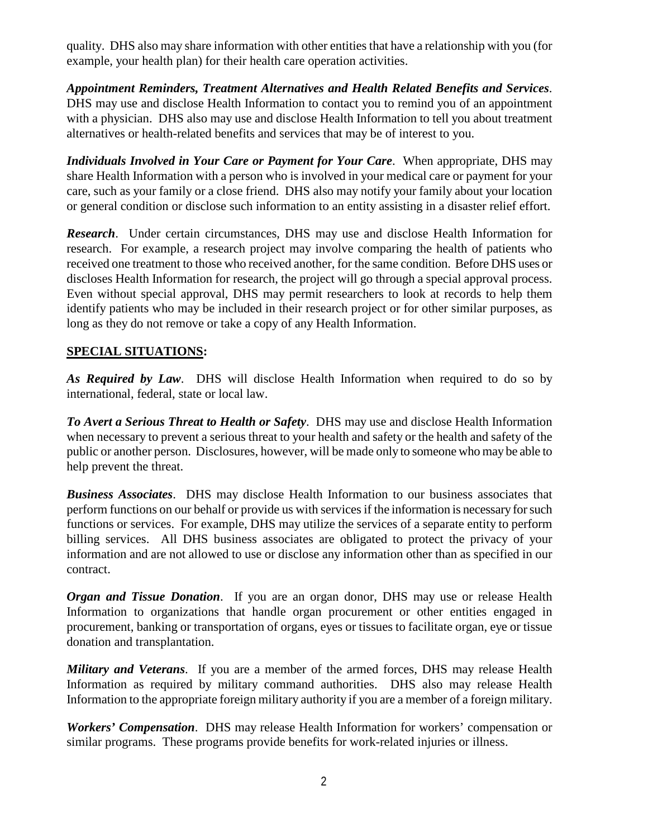quality. DHS also may share information with other entities that have a relationship with you (for example, your health plan) for their health care operation activities.

*Appointment Reminders, Treatment Alternatives and Health Related Benefits and Services*. DHS may use and disclose Health Information to contact you to remind you of an appointment with a physician. DHS also may use and disclose Health Information to tell you about treatment alternatives or health-related benefits and services that may be of interest to you.

*Individuals Involved in Your Care or Payment for Your Care*. When appropriate, DHS may share Health Information with a person who is involved in your medical care or payment for your care, such as your family or a close friend. DHS also may notify your family about your location or general condition or disclose such information to an entity assisting in a disaster relief effort.

*Research*. Under certain circumstances, DHS may use and disclose Health Information for research. For example, a research project may involve comparing the health of patients who received one treatment to those who received another, for the same condition. Before DHS uses or discloses Health Information for research, the project will go through a special approval process. Even without special approval, DHS may permit researchers to look at records to help them identify patients who may be included in their research project or for other similar purposes, as long as they do not remove or take a copy of any Health Information.

#### **SPECIAL SITUATIONS:**

*As Required by Law*. DHS will disclose Health Information when required to do so by international, federal, state or local law.

*To Avert a Serious Threat to Health or Safety*. DHS may use and disclose Health Information when necessary to prevent a serious threat to your health and safety or the health and safety of the public or another person. Disclosures, however, will be made only to someone who may be able to help prevent the threat.

*Business Associates*. DHS may disclose Health Information to our business associates that perform functions on our behalf or provide us with services if the information is necessary for such functions or services. For example, DHS may utilize the services of a separate entity to perform billing services. All DHS business associates are obligated to protect the privacy of your information and are not allowed to use or disclose any information other than as specified in our contract.

*Organ and Tissue Donation*. If you are an organ donor, DHS may use or release Health Information to organizations that handle organ procurement or other entities engaged in procurement, banking or transportation of organs, eyes or tissues to facilitate organ, eye or tissue donation and transplantation.

*Military and Veterans*. If you are a member of the armed forces, DHS may release Health Information as required by military command authorities. DHS also may release Health Information to the appropriate foreign military authority if you are a member of a foreign military.

*Workers' Compensation*. DHS may release Health Information for workers' compensation or similar programs. These programs provide benefits for work-related injuries or illness.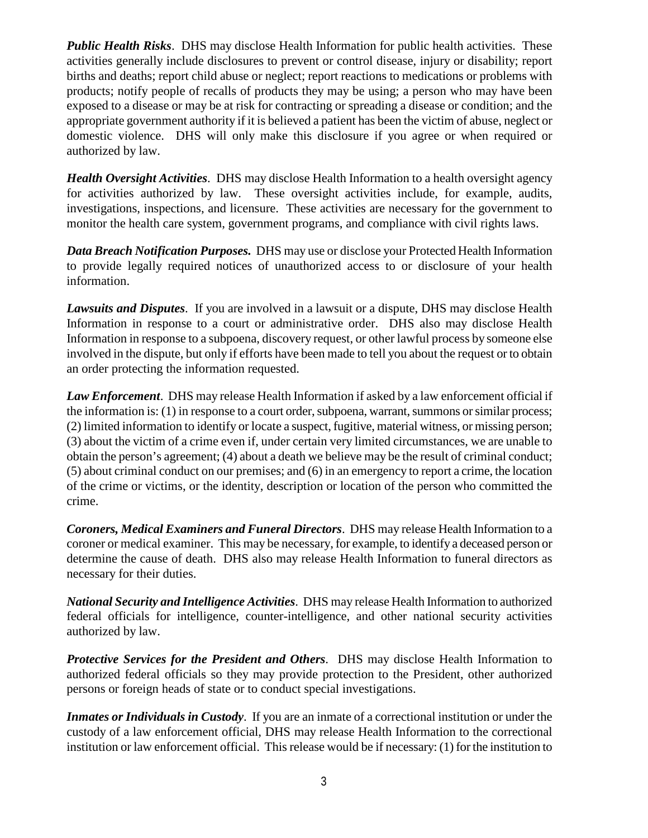*Public Health Risks*. DHS may disclose Health Information for public health activities. These activities generally include disclosures to prevent or control disease, injury or disability; report births and deaths; report child abuse or neglect; report reactions to medications or problems with products; notify people of recalls of products they may be using; a person who may have been exposed to a disease or may be at risk for contracting or spreading a disease or condition; and the appropriate government authority if it is believed a patient has been the victim of abuse, neglect or domestic violence. DHS will only make this disclosure if you agree or when required or authorized by law.

*Health Oversight Activities*. DHS may disclose Health Information to a health oversight agency for activities authorized by law. These oversight activities include, for example, audits, investigations, inspections, and licensure. These activities are necessary for the government to monitor the health care system, government programs, and compliance with civil rights laws.

*Data Breach Notification Purposes.* DHS may use or disclose your Protected Health Information to provide legally required notices of unauthorized access to or disclosure of your health information.

*Lawsuits and Disputes*. If you are involved in a lawsuit or a dispute, DHS may disclose Health Information in response to a court or administrative order. DHS also may disclose Health Information in response to a subpoena, discovery request, or other lawful process by someone else involved in the dispute, but only if efforts have been made to tell you about the request or to obtain an order protecting the information requested.

*Law Enforcement*. DHS may release Health Information if asked by a law enforcement official if the information is: (1) in response to a court order, subpoena, warrant, summons or similar process; (2) limited information to identify or locate a suspect, fugitive, material witness, or missing person; (3) about the victim of a crime even if, under certain very limited circumstances, we are unable to obtain the person's agreement; (4) about a death we believe may be the result of criminal conduct; (5) about criminal conduct on our premises; and (6) in an emergency to report a crime, the location of the crime or victims, or the identity, description or location of the person who committed the crime.

*Coroners, Medical Examiners and Funeral Directors*. DHS may release Health Information to a coroner or medical examiner. This may be necessary, for example, to identify a deceased person or determine the cause of death. DHS also may release Health Information to funeral directors as necessary for their duties.

*National Security and Intelligence Activities*. DHS may release Health Information to authorized federal officials for intelligence, counter-intelligence, and other national security activities authorized by law.

*Protective Services for the President and Others*. DHS may disclose Health Information to authorized federal officials so they may provide protection to the President, other authorized persons or foreign heads of state or to conduct special investigations.

*Inmates or Individuals in Custody*. If you are an inmate of a correctional institution or under the custody of a law enforcement official, DHS may release Health Information to the correctional institution or law enforcement official. This release would be if necessary: (1) for the institution to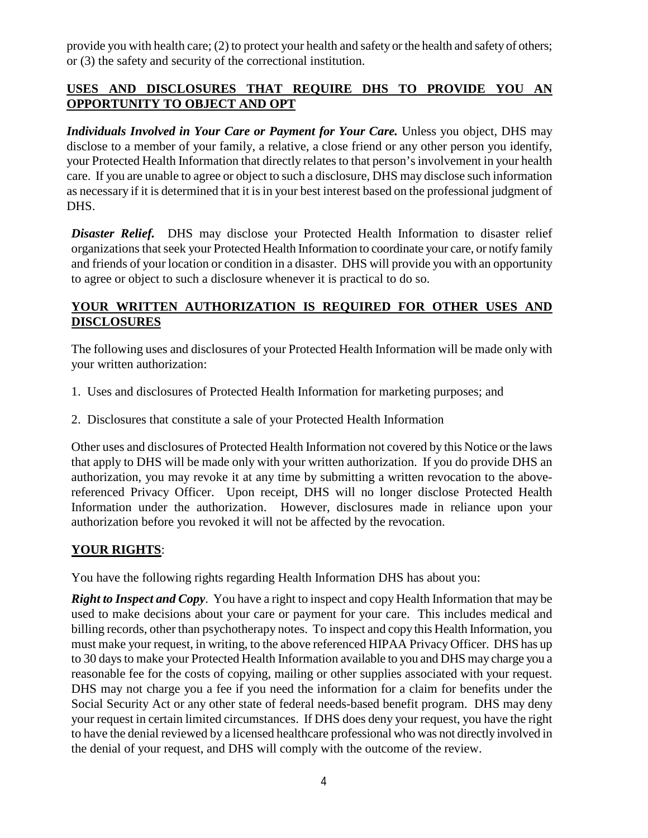provide you with health care; (2) to protect your health and safety or the health and safety of others; or (3) the safety and security of the correctional institution.

## **USES AND DISCLOSURES THAT REQUIRE DHS TO PROVIDE YOU AN OPPORTUNITY TO OBJECT AND OPT**

*Individuals Involved in Your Care or Payment for Your Care.* Unless you object, DHS may disclose to a member of your family, a relative, a close friend or any other person you identify, your Protected Health Information that directly relates to that person's involvement in your health care. If you are unable to agree or object to such a disclosure, DHS may disclose such information as necessary if it is determined that it is in your best interest based on the professional judgment of DHS.

**Disaster Relief.** DHS may disclose your Protected Health Information to disaster relief organizations that seek your Protected Health Information to coordinate your care, or notify family and friends of your location or condition in a disaster. DHS will provide you with an opportunity to agree or object to such a disclosure whenever it is practical to do so.

#### **YOUR WRITTEN AUTHORIZATION IS REQUIRED FOR OTHER USES AND DISCLOSURES**

The following uses and disclosures of your Protected Health Information will be made only with your written authorization:

- 1. Uses and disclosures of Protected Health Information for marketing purposes; and
- 2. Disclosures that constitute a sale of your Protected Health Information

Other uses and disclosures of Protected Health Information not covered by this Notice or the laws that apply to DHS will be made only with your written authorization. If you do provide DHS an authorization, you may revoke it at any time by submitting a written revocation to the abovereferenced Privacy Officer. Upon receipt, DHS will no longer disclose Protected Health Information under the authorization. However, disclosures made in reliance upon your authorization before you revoked it will not be affected by the revocation.

## **YOUR RIGHTS**:

You have the following rights regarding Health Information DHS has about you:

*Right to Inspect and Copy*. You have a right to inspect and copy Health Information that may be used to make decisions about your care or payment for your care. This includes medical and billing records, other than psychotherapy notes. To inspect and copy this Health Information, you must make your request, in writing, to the above referenced HIPAA Privacy Officer. DHS has up to 30 days to make your Protected Health Information available to you and DHS may charge you a reasonable fee for the costs of copying, mailing or other supplies associated with your request. DHS may not charge you a fee if you need the information for a claim for benefits under the Social Security Act or any other state of federal needs-based benefit program. DHS may deny your request in certain limited circumstances. If DHS does deny your request, you have the right to have the denial reviewed by a licensed healthcare professional who was not directly involved in the denial of your request, and DHS will comply with the outcome of the review.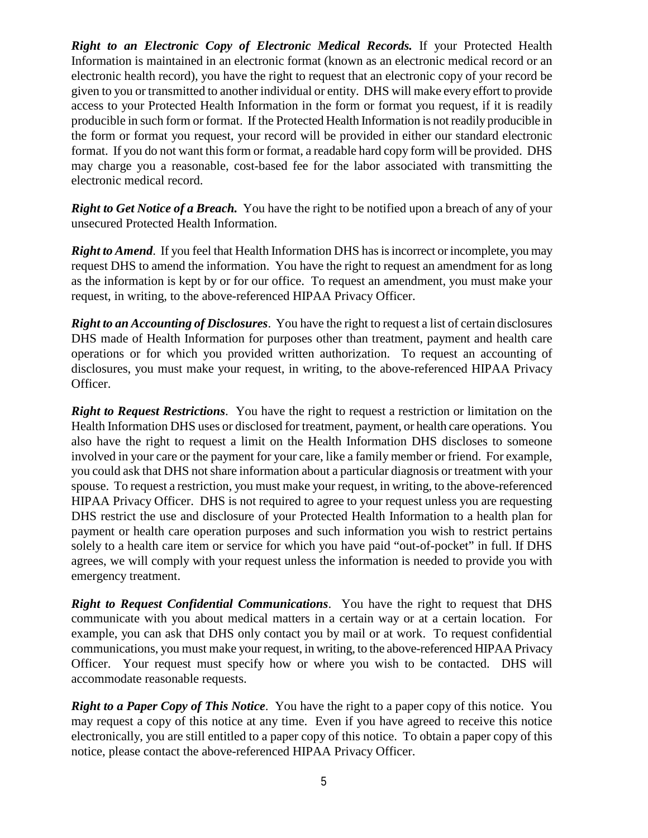*Right to an Electronic Copy of Electronic Medical Records.* If your Protected Health Information is maintained in an electronic format (known as an electronic medical record or an electronic health record), you have the right to request that an electronic copy of your record be given to you or transmitted to another individual or entity. DHS will make every effort to provide access to your Protected Health Information in the form or format you request, if it is readily producible in such form or format. If the Protected Health Information is not readily producible in the form or format you request, your record will be provided in either our standard electronic format. If you do not want this form or format, a readable hard copy form will be provided. DHS may charge you a reasonable, cost-based fee for the labor associated with transmitting the electronic medical record.

*Right to Get Notice of a Breach.* You have the right to be notified upon a breach of any of your unsecured Protected Health Information.

*Right to Amend*. If you feel that Health Information DHS has is incorrect or incomplete, you may request DHS to amend the information. You have the right to request an amendment for as long as the information is kept by or for our office. To request an amendment, you must make your request, in writing, to the above-referenced HIPAA Privacy Officer.

*Right to an Accounting of Disclosures*. You have the right to request a list of certain disclosures DHS made of Health Information for purposes other than treatment, payment and health care operations or for which you provided written authorization. To request an accounting of disclosures, you must make your request, in writing, to the above-referenced HIPAA Privacy Officer.

*Right to Request Restrictions*. You have the right to request a restriction or limitation on the Health Information DHS uses or disclosed for treatment, payment, or health care operations. You also have the right to request a limit on the Health Information DHS discloses to someone involved in your care or the payment for your care, like a family member or friend. For example, you could ask that DHS not share information about a particular diagnosis or treatment with your spouse. To request a restriction, you must make your request, in writing, to the above-referenced HIPAA Privacy Officer. DHS is not required to agree to your request unless you are requesting DHS restrict the use and disclosure of your Protected Health Information to a health plan for payment or health care operation purposes and such information you wish to restrict pertains solely to a health care item or service for which you have paid "out-of-pocket" in full. If DHS agrees, we will comply with your request unless the information is needed to provide you with emergency treatment.

*Right to Request Confidential Communications*. You have the right to request that DHS communicate with you about medical matters in a certain way or at a certain location. For example, you can ask that DHS only contact you by mail or at work. To request confidential communications, you must make your request, in writing, to the above-referenced HIPAA Privacy Officer. Your request must specify how or where you wish to be contacted. DHS will accommodate reasonable requests.

*Right to a Paper Copy of This Notice*. You have the right to a paper copy of this notice. You may request a copy of this notice at any time. Even if you have agreed to receive this notice electronically, you are still entitled to a paper copy of this notice. To obtain a paper copy of this notice, please contact the above-referenced HIPAA Privacy Officer.